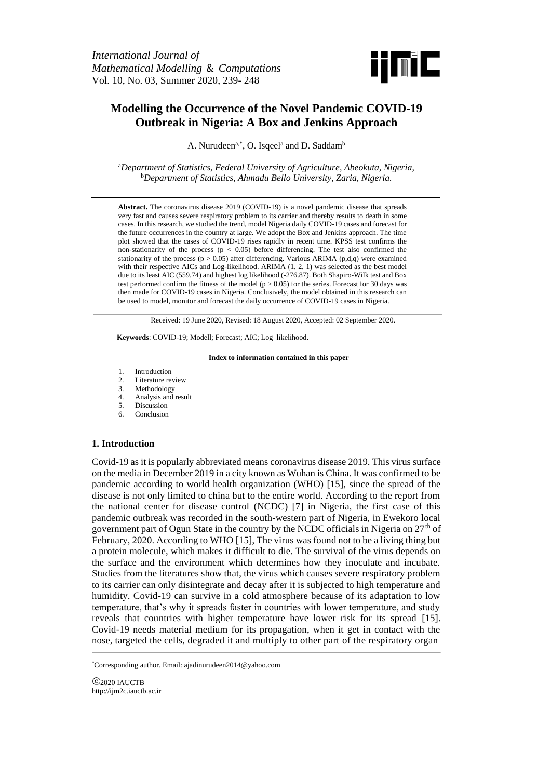

# **Modelling the Occurrence of the Novel Pandemic COVID-19 Outbreak in Nigeria: A Box and Jenkins Approach**

A. Nurudeen<sup>a,\*</sup>, O. Isqeel<sup>a</sup> and D. Saddam<sup>b</sup>

<sup>a</sup>*Department of Statistics, Federal University of Agriculture, Abeokuta, Nigeria,* <sup>b</sup>*Department of Statistics, Ahmadu Bello University, Zaria, Nigeria.*

**Abstract.** The coronavirus disease 2019 (COVID-19) is a novel pandemic disease that spreads very fast and causes severe respiratory problem to its carrier and thereby results to death in some cases. In this research, we studied the trend, model Nigeria daily COVID-19 cases and forecast for the future occurrences in the country at large. We adopt the Box and Jenkins approach. The time plot showed that the cases of COVID-19 rises rapidly in recent time. KPSS test confirms the non-stationarity of the process  $(p < 0.05)$  before differencing. The test also confirmed the stationarity of the process ( $p > 0.05$ ) after differencing. Various ARIMA (p,d,q) were examined with their respective AICs and Log-likelihood. ARIMA (1, 2, 1) was selected as the best model due to its least AIC (559.74) and highest log likelihood (-276.87). Both Shapiro-Wilk test and Box test performed confirm the fitness of the model ( $p > 0.05$ ) for the series. Forecast for 30 days was then made for COVID-19 cases in Nigeria. Conclusively, the model obtained in this research can be used to model, monitor and forecast the daily occurrence of COVID-19 cases in Nigeria.

Received: 19 June 2020, Revised: 18 August 2020, Accepted: 02 September 2020.

**Keywords**: COVID-19; Modell; Forecast; AIC; Log–likelihood.

#### **Index to information contained in this paper**

- 1. Introduction
- 2. Literature review
- 3. Methodology
- 4. Analysis and result<br>5. Discussion
- Discussion
- 6. Conclusion

### **1. Introduction**

Covid-19 as it is popularly abbreviated means coronavirus disease 2019. This virus surface on the media in December 2019 in a city known as Wuhan is China. It was confirmed to be pandemic according to world health organization (WHO) [15], since the spread of the disease is not only limited to china but to the entire world. According to the report from the national center for disease control (NCDC) [7] in Nigeria, the first case of this pandemic outbreak was recorded in the south-western part of Nigeria, in Ewekoro local government part of Ogun State in the country by the NCDC officials in Nigeria on  $27<sup>th</sup>$  of February, 2020. According to WHO [15], The virus was found not to be a living thing but a protein molecule, which makes it difficult to die. The survival of the virus depends on the surface and the environment which determines how they inoculate and incubate. Studies from the literatures show that, the virus which causes severe respiratory problem to its carrier can only disintegrate and decay after it is subjected to high temperature and humidity. Covid-19 can survive in a cold atmosphere because of its adaptation to low temperature, that's why it spreads faster in countries with lower temperature, and study reveals that countries with higher temperature have lower risk for its spread [15]. Covid-19 needs material medium for its propagation, when it get in contact with the nose, targeted the cells, degraded it and multiply to other part of the respiratory organ

\*Corresponding author. Email: ajadinurudeen2014@yahoo.com

C<sub>2020</sub> IAUCTB http://ijm2c.iauctb.ac.ir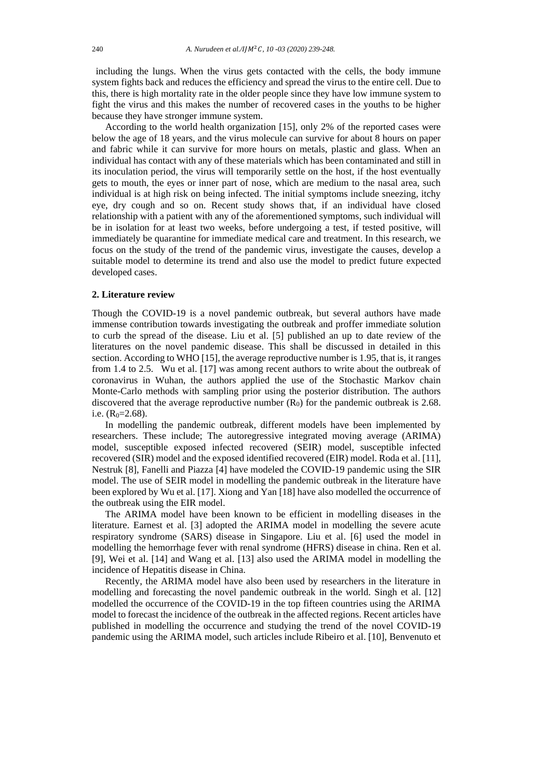including the lungs. When the virus gets contacted with the cells, the body immune system fights back and reduces the efficiency and spread the virus to the entire cell. Due to this, there is high mortality rate in the older people since they have low immune system to fight the virus and this makes the number of recovered cases in the youths to be higher because they have stronger immune system.

According to the world health organization [15], only 2% of the reported cases were below the age of 18 years, and the virus molecule can survive for about 8 hours on paper and fabric while it can survive for more hours on metals, plastic and glass. When an individual has contact with any of these materials which has been contaminated and still in its inoculation period, the virus will temporarily settle on the host, if the host eventually gets to mouth, the eyes or inner part of nose, which are medium to the nasal area, such individual is at high risk on being infected. The initial symptoms include sneezing, itchy eye, dry cough and so on. Recent study shows that, if an individual have closed relationship with a patient with any of the aforementioned symptoms, such individual will be in isolation for at least two weeks, before undergoing a test, if tested positive, will immediately be quarantine for immediate medical care and treatment. In this research, we focus on the study of the trend of the pandemic virus, investigate the causes, develop a suitable model to determine its trend and also use the model to predict future expected developed cases.

#### **2. Literature review**

Though the COVID-19 is a novel pandemic outbreak, but several authors have made immense contribution towards investigating the outbreak and proffer immediate solution to curb the spread of the disease. Liu et al. [5] published an up to date review of the literatures on the novel pandemic disease. This shall be discussed in detailed in this section. According to WHO [15], the average reproductive number is 1.95, that is, it ranges from 1.4 to 2.5. Wu et al. [17] was among recent authors to write about the outbreak of coronavirus in Wuhan, the authors applied the use of the Stochastic Markov chain Monte-Carlo methods with sampling prior using the posterior distribution. The authors discovered that the average reproductive number  $(R_0)$  for the pandemic outbreak is 2.68. i.e.  $(R<sub>0</sub>=2.68)$ .

In modelling the pandemic outbreak, different models have been implemented by researchers. These include; The autoregressive integrated moving average (ARIMA) model, susceptible exposed infected recovered (SEIR) model, susceptible infected recovered (SIR) model and the exposed identified recovered (EIR) model. Roda et al. [11], Nestruk [8], Fanelli and Piazza [4] have modeled the COVID-19 pandemic using the SIR model. The use of SEIR model in modelling the pandemic outbreak in the literature have been explored by Wu et al. [17]. Xiong and Yan [18] have also modelled the occurrence of the outbreak using the EIR model.

The ARIMA model have been known to be efficient in modelling diseases in the literature. Earnest et al. [3] adopted the ARIMA model in modelling the severe acute respiratory syndrome (SARS) disease in Singapore. Liu et al. [6] used the model in modelling the hemorrhage fever with renal syndrome (HFRS) disease in china. Ren et al. [9], Wei et al. [14] and Wang et al. [13] also used the ARIMA model in modelling the incidence of Hepatitis disease in China.

Recently, the ARIMA model have also been used by researchers in the literature in modelling and forecasting the novel pandemic outbreak in the world. Singh et al. [12] modelled the occurrence of the COVID-19 in the top fifteen countries using the ARIMA model to forecast the incidence of the outbreak in the affected regions. Recent articles have published in modelling the occurrence and studying the trend of the novel COVID-19 pandemic using the ARIMA model, such articles include Ribeiro et al. [10], Benvenuto et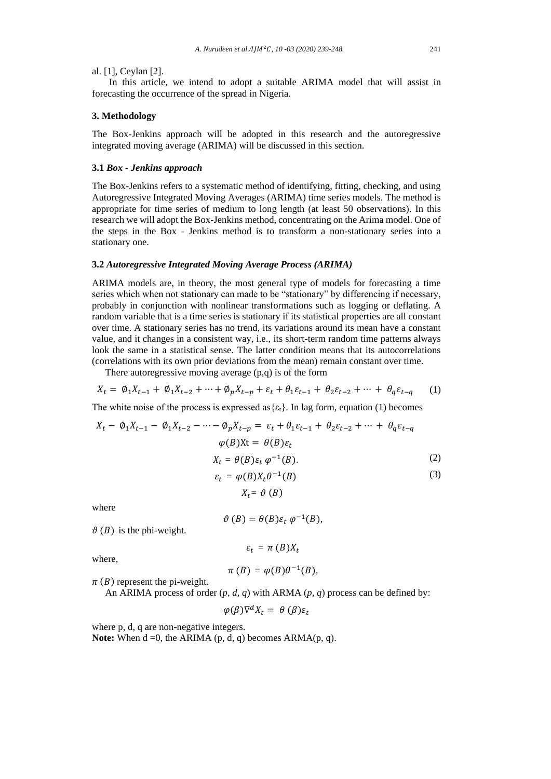al. [1], Ceylan [2].

In this article, we intend to adopt a suitable ARIMA model that will assist in forecasting the occurrence of the spread in Nigeria.

### **3. Methodology**

The Box-Jenkins approach will be adopted in this research and the autoregressive integrated moving average (ARIMA) will be discussed in this section.

#### **3.1** *Box - Jenkins approach*

The Box-Jenkins refers to a systematic method of identifying, fitting, checking, and using Autoregressive Integrated Moving Averages (ARIMA) time series models. The method is appropriate for time series of medium to long length (at least 50 observations). In this research we will adopt the Box-Jenkins method, concentrating on the Arima model. One of the steps in the Box - Jenkins method is to transform a non-stationary series into a stationary one.

#### **3.2** *Autoregressive Integrated Moving Average Process (ARIMA)*

ARIMA models are, in theory, the most general type of models for forecasting a time series which when not stationary can made to be "stationary" by differencing if necessary, probably in conjunction with nonlinear transformations such as logging or deflating. A random variable that is a time series is stationary if its statistical properties are all constant over time. A stationary series has no trend, its variations around its mean have a constant value, and it changes in a consistent way, i.e., its short-term random time patterns always look the same in a statistical sense. The latter condition means that its autocorrelations (correlations with its own prior deviations from the mean) remain constant over time.

There autoregressive moving average (p,q) is of the form

$$
X_t = \emptyset_1 X_{t-1} + \emptyset_1 X_{t-2} + \dots + \emptyset_p X_{t-p} + \varepsilon_t + \theta_1 \varepsilon_{t-1} + \theta_2 \varepsilon_{t-2} + \dots + \theta_q \varepsilon_{t-q} \tag{1}
$$

The white noise of the process is expressed as  $\{\varepsilon_t\}$ . In lag form, equation (1) becomes

$$
X_t - \emptyset_1 X_{t-1} - \emptyset_1 X_{t-2} - \dots - \emptyset_p X_{t-p} = \varepsilon_t + \theta_1 \varepsilon_{t-1} + \theta_2 \varepsilon_{t-2} + \dots + \theta_q \varepsilon_{t-q}
$$
  
\n
$$
\varphi(B)Xt = \theta(B)\varepsilon_t
$$
  
\n
$$
X_t = \theta(B)\varepsilon_t \varphi^{-1}(B).
$$
  
\n
$$
\varepsilon_t = \varphi(B)X_t \theta^{-1}(B)
$$
  
\n(3)

 $X_t = \vartheta(B)$ 

where

$$
\vartheta(B)=\theta(B)\varepsilon_t\,\varphi^{-1}(B),
$$

 $\vartheta$  (*B*) is the phi-weight.

$$
\varepsilon_t = \pi(B)X_t
$$

where,

$$
\pi(B)=\varphi(B)\theta^{-1}(B),
$$

 $\pi$  (B) represent the pi-weight.

An ARIMA process of order (*p, d, q*) with ARMA (*p, q*) process can be defined by:

$$
\varphi(\beta)\nabla^d X_t = \theta\,(\beta)\varepsilon_t
$$

where p, d, q are non-negative integers.

**Note:** When  $d = 0$ , the ARIMA (p, d, q) becomes  $ARMA(p, q)$ .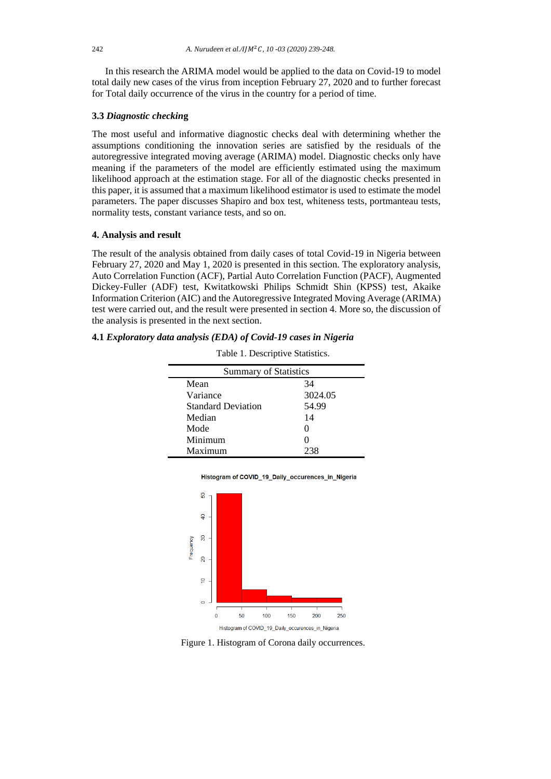In this research the ARIMA model would be applied to the data on Covid-19 to model total daily new cases of the virus from inception February 27, 2020 and to further forecast for Total daily occurrence of the virus in the country for a period of time.

### **3.3** *Diagnostic checkin***g**

The most useful and informative diagnostic checks deal with determining whether the assumptions conditioning the innovation series are satisfied by the residuals of the autoregressive integrated moving average (ARIMA) model. Diagnostic checks only have meaning if the parameters of the model are efficiently estimated using the maximum likelihood approach at the estimation stage. For all of the diagnostic checks presented in this paper, it is assumed that a maximum likelihood estimator is used to estimate the model parameters. The paper discusses Shapiro and box test, whiteness tests, portmanteau tests, normality tests, constant variance tests, and so on.

#### **4. Analysis and result**

The result of the analysis obtained from daily cases of total Covid-19 in Nigeria between February 27, 2020 and May 1, 2020 is presented in this section. The exploratory analysis, Auto Correlation Function (ACF), Partial Auto Correlation Function (PACF), Augmented Dickey-Fuller (ADF) test, Kwitatkowski Philips Schmidt Shin (KPSS) test, Akaike Information Criterion (AIC) and the Autoregressive Integrated Moving Average (ARIMA) test were carried out, and the result were presented in section 4. More so, the discussion of the analysis is presented in the next section.

### **4.1** *Exploratory data analysis (EDA) of Covid-19 cases in Nigeria*

|                           | <b>Summary of Statistics</b> |  |  |  |  |
|---------------------------|------------------------------|--|--|--|--|
| Mean                      | 34                           |  |  |  |  |
| Variance                  | 3024.05                      |  |  |  |  |
| <b>Standard Deviation</b> | 54.99                        |  |  |  |  |
| Median                    | 14                           |  |  |  |  |
| Mode                      | $\mathbf{\Omega}$            |  |  |  |  |
| Minimum                   |                              |  |  |  |  |
| Maximum                   | 238                          |  |  |  |  |

Table 1. Descriptive Statistics.





Figure 1. Histogram of Corona daily occurrences.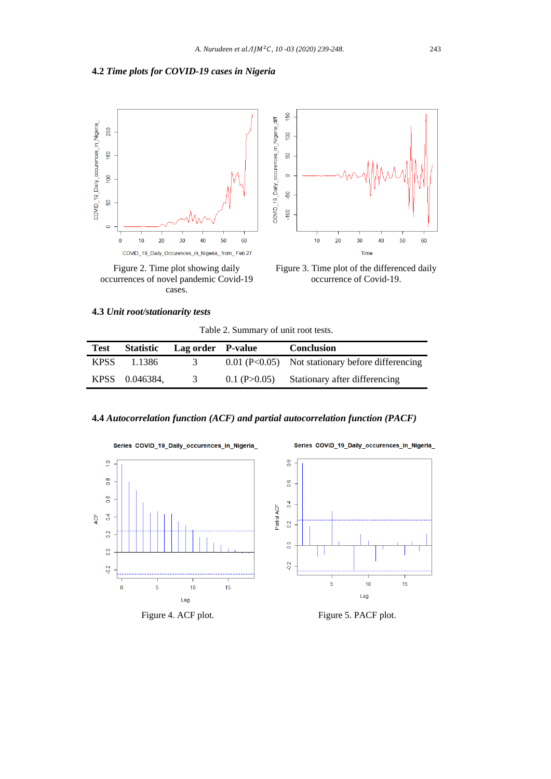# **4.2** *Time plots for COVID-19 cases in Nigeria*



occurrences of novel pandemic Covid-19 cases.



Figure 3. Time plot of the differenced daily occurrence of Covid-19.

### **4.3** *Unit root/stationarity tests*

Table 2. Summary of unit root tests.

| <b>Test</b> | <b>Statistic</b> | Lag order P-value |                    | <b>Conclusion</b>                                  |
|-------------|------------------|-------------------|--------------------|----------------------------------------------------|
| <b>KPSS</b> | 1.1386           | $\mathfrak{I}$    |                    | $0.01$ (P<0.05) Not stationary before differencing |
|             | KPSS 0.046384.   | 3                 | $0.1$ (P $>0.05$ ) | Stationary after differencing                      |

### **4.4** *Autocorrelation function (ACF) and partial autocorrelation function (PACF)*







Series COVID\_19\_Daily\_occurences\_in\_Nigeria\_

# Figure 4. ACF plot. Figure 5. PACF plot.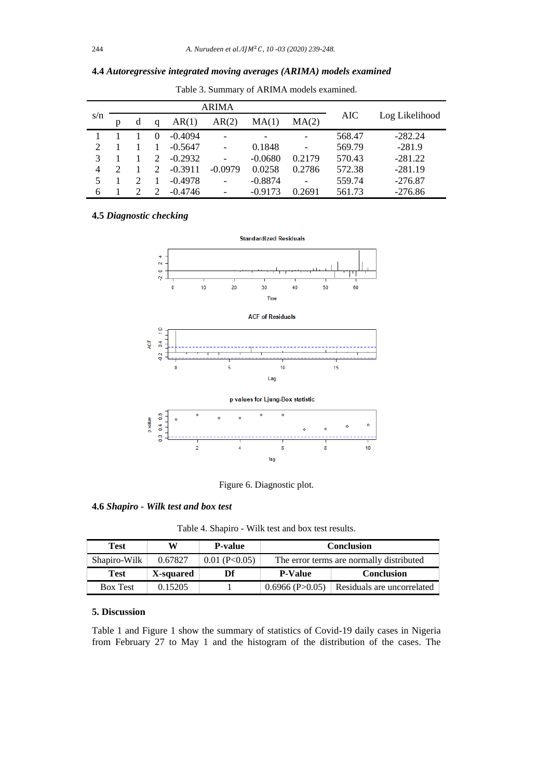| 4.4 Autoregressive integrated moving averages (ARIMA) models examined |  |  |
|-----------------------------------------------------------------------|--|--|
|                                                                       |  |  |

|                          |   |   |                             |           | <b>ARIMA</b> |           |                 |        |                |
|--------------------------|---|---|-----------------------------|-----------|--------------|-----------|-----------------|--------|----------------|
| s/n                      | p | d | a                           | AR(1)     | AR(2)        | MA(1)     | MA(2)           | AIC    | Log Likelihood |
|                          |   |   | $\Omega$                    | $-0.4094$ |              |           |                 | 568.47 | $-282.24$      |
| $\overline{2}$           |   |   |                             | $-0.5647$ |              | 0.1848    |                 | 569.79 | $-281.9$       |
| $\mathcal{R}$            |   |   | $\mathcal{D}$               | $-0.2932$ |              | $-0.0680$ | 0.2179          | 570.43 | $-281.22$      |
| $\overline{4}$           |   |   | $\mathcal{D}_{\mathcal{L}}$ | $-0.3911$ | $-0.0979$    | 0.0258    | 0.2786          | 572.38 | $-281.19$      |
| $\overline{\phantom{1}}$ |   |   |                             | $-0.4978$ |              | $-0.8874$ | $\qquad \qquad$ | 559.74 | $-276.87$      |
| 6                        |   |   |                             | $-0.4746$ |              | $-0.9173$ | 0.2691          | 561.73 | $-276.86$      |

Table 3. Summary of ARIMA models examined.

# **4.5** *Diagnostic checking*



Figure 6. Diagnostic plot.

# **4.6** *Shapiro - Wilk test and box test*

Table 4. Shapiro - Wilk test and box test results.

| <b>Test</b>     | W         | <b>P-value</b>  | <b>Conclusion</b>                        |                            |  |
|-----------------|-----------|-----------------|------------------------------------------|----------------------------|--|
| Shapiro-Wilk    | 0.67827   | $0.01$ (P<0.05) | The error terms are normally distributed |                            |  |
| <b>Test</b>     | X-squared | Df              | <b>Conclusion</b><br><b>P-Value</b>      |                            |  |
| <b>Box Test</b> | 0.15205   |                 | $0.6966$ (P $>0.05$ )                    | Residuals are uncorrelated |  |

### **5. Discussion**

Table 1 and Figure 1 show the summary of statistics of Covid-19 daily cases in Nigeria from February 27 to May 1 and the histogram of the distribution of the cases. The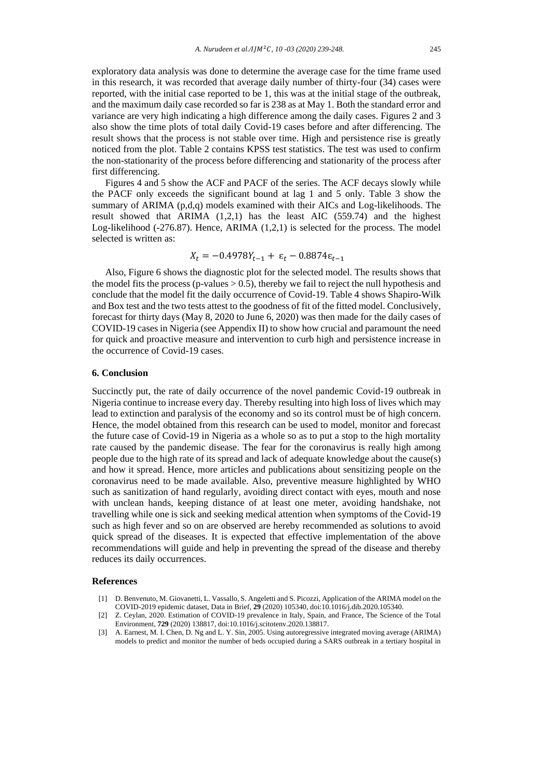exploratory data analysis was done to determine the average case for the time frame used in this research, it was recorded that average daily number of thirty-four (34) cases were reported, with the initial case reported to be 1, this was at the initial stage of the outbreak, and the maximum daily case recorded so far is 238 as at May 1. Both the standard error and variance are very high indicating a high difference among the daily cases. Figures 2 and 3 also show the time plots of total daily Covid-19 cases before and after differencing. The result shows that the process is not stable over time. High and persistence rise is greatly noticed from the plot. Table 2 contains KPSS test statistics. The test was used to confirm the non-stationarity of the process before differencing and stationarity of the process after first differencing.

Figures 4 and 5 show the ACF and PACF of the series. The ACF decays slowly while the PACF only exceeds the significant bound at lag 1 and 5 only. Table 3 show the summary of ARIMA (p,d,q) models examined with their AICs and Log-likelihoods. The result showed that ARIMA (1,2,1) has the least AIC (559.74) and the highest Log-likelihood (-276.87). Hence, ARIMA (1,2,1) is selected for the process. The model selected is written as:

$$
X_t = -0.4978Y_{t-1} + \varepsilon_t - 0.8874\varepsilon_{t-1}
$$

Also, Figure 6 shows the diagnostic plot for the selected model. The results shows that the model fits the process (p-values  $> 0.5$ ), thereby we fail to reject the null hypothesis and conclude that the model fit the daily occurrence of Covid-19. Table 4 shows Shapiro-Wilk and Box test and the two tests attest to the goodness of fit of the fitted model. Conclusively, forecast for thirty days (May 8, 2020 to June 6, 2020) was then made for the daily cases of COVID-19 cases in Nigeria (see Appendix II) to show how crucial and paramount the need for quick and proactive measure and intervention to curb high and persistence increase in the occurrence of Covid-19 cases.

#### **6. Conclusion**

Succinctly put, the rate of daily occurrence of the novel pandemic Covid-19 outbreak in Nigeria continue to increase every day. Thereby resulting into high loss of lives which may lead to extinction and paralysis of the economy and so its control must be of high concern. Hence, the model obtained from this research can be used to model, monitor and forecast the future case of Covid-19 in Nigeria as a whole so as to put a stop to the high mortality rate caused by the pandemic disease. The fear for the coronavirus is really high among people due to the high rate of its spread and lack of adequate knowledge about the cause(s) and how it spread. Hence, more articles and publications about sensitizing people on the coronavirus need to be made available. Also, preventive measure highlighted by WHO such as sanitization of hand regularly, avoiding direct contact with eyes, mouth and nose with unclean hands, keeping distance of at least one meter, avoiding handshake, not travelling while one is sick and seeking medical attention when symptoms of the Covid-19 such as high fever and so on are observed are hereby recommended as solutions to avoid quick spread of the diseases. It is expected that effective implementation of the above recommendations will guide and help in preventing the spread of the disease and thereby reduces its daily occurrences.

#### **References**

- [1] D. Benvenuto, M. Giovanetti, L. Vassallo, S. Angeletti and S. Picozzi, Application of the ARIMA model on the COVID-2019 epidemic dataset, Data in Brief, **29** (2020) 105340, doi:10.1016/j.dib.2020.105340.
- [2] Z. Ceylan, 2020. Estimation of COVID-19 prevalence in Italy, Spain, and France, The Science of the Total Environment, **729** (2020) 138817, doi:10.1016/j.scitotenv.2020.138817.
- [3] A. Earnest, M. I. Chen, D. Ng and L. Y. Sin, 2005. Using autoregressive integrated moving average (ARIMA) models to predict and monitor the number of beds occupied during a SARS outbreak in a tertiary hospital in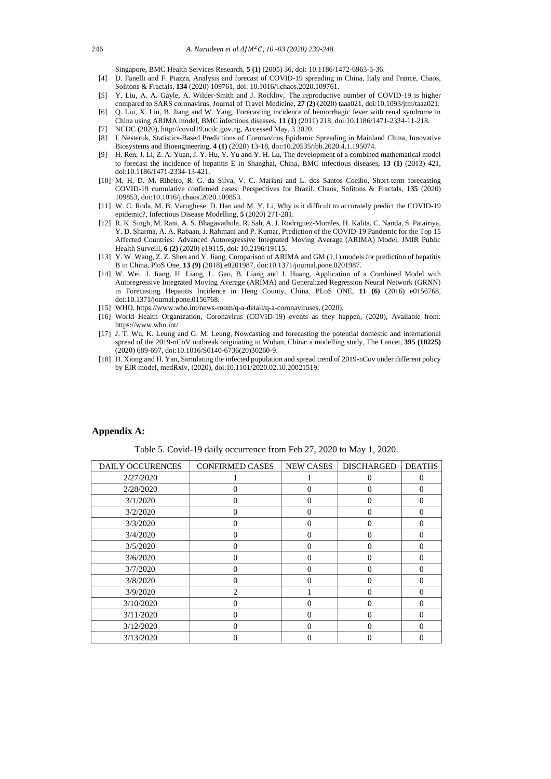Singapore, BMC Health Services Research, **5 (1)** (2005) 36, doi: 10.1186/1472-6963-5-36.

- [4] D. Fanelli and F. Piazza, Analysis and forecast of COVID-19 spreading in China, Italy and France, Chaos, Solitons & Fractals, **134** (2020) 109761, doi: 10.1016/j.chaos.2020.109761.
- [5] Y. Liu, A. A. Gayle, A. Wilder-Smith and J. Rocklöv, The reproductive number of COVID-19 is higher compared to SARS coronavirus, Journal of Travel Medicine, **27 (2)** (2020) taaa021, doi:10.1093/jtm/taaa021.
- [6] O. Liu, X. Liu, B. Jiang and W. Yang, Forecasting incidence of hemorrhagic fever with renal syndrome in China using ARIMA model, BMC infectious diseases, **11 (1)** (2011) 218, doi:10.1186/1471-2334-11-218.
- [7] NCDC (2020), http://covid19.ncdc.gov.ng, Accessed May, 3 2020.
- [8] I. Nesteruk, Statistics-Based Predictions of Coronavirus Epidemic Spreading in Mainland China, Innovative Biosystems and Bioengineering, **4 (1)** (2020) 13-18, doi:10.20535/ibb.2020.4.1.195074.
- [9] H. Ren, J. Li, Z. A. Yuan, J. Y. Hu, Y. Yu and Y. H. Lu, The development of a combined mathematical model to forecast the incidence of hepatitis E in Shanghai, China, BMC infectious diseases, **13 (1)** (2013) 421, doi:10.1186/1471-2334-13-421.
- [10] M. H. D. M. Ribeiro, R. G. da Silva, V. C. Mariani and L. dos Santos Coelho, Short-term forecasting COVID-19 cumulative confirmed cases: Perspectives for Brazil. Chaos, Solitons & Fractals, **135** (2020) 109853, doi:10.1016/j.chaos.2020.109853.
- [11] W. C. Roda, M. B. Varughese, D. Han and M. Y. Li, Why is it difficult to accurately predict the COVID-19 epidemic?, Infectious Disease Modelling, **5** (2020) 271-281.
- [12] R. K. Singh, M. Rani, A. S. Bhagavathula, R. Sah, A. J. Rodriguez-Morales, H. Kalita, C. Nanda, S. Patairiya, Y. D. Sharma, A. A. Rabaan, J. Rahmani and P. Kumar, Prediction of the COVID-19 Pandemic for the Top 15 Affected Countries: Advanced Autoregressive Integrated Moving Average (ARIMA) Model, JMIR Public Health Surveill, **6 (2)** (2020) e19115, doi: 10.2196/19115.
- [13] Y. W. Wang, Z. Z. Shen and Y. Jiang, Comparison of ARIMA and GM (1,1) models for prediction of hepatitis B in China, PloS One, **13 (9)** (2018) e0201987, doi:10.1371/journal.pone.0201987.
- [14] W. Wei, J. Jiang, H. Liang, L. Gao, B. Liang and J. Huang, Application of a Combined Model with Autoregressive Integrated Moving Average (ARIMA) and Generalized Regression Neural Network (GRNN) in Forecasting Hepatitis Incidence in Heng County, China, PLoS ONE, **11 (6)** (2016) e0156768, doi:10.1371/journal.pone.0156768.
- [15] WHO, https://www.who.int/news-room/q-a-detail/q-a-coronaviruses, (2020).
- [16] World Health Organization, Coronavirus (COVID-19) events as they happen, (2020), Available from: https://www.who.int/
- [17] J. T. Wu, K. Leung and G. M. Leung, Nowcasting and forecasting the potential domestic and international spread of the 2019-nCoV outbreak originating in Wuhan, China: a modelling study, The Lancet, **395 (10225)** (2020) 689-697, doi:10.1016/S0140-6736(20)30260-9.
- [18] H. Xiong and H. Yan, Simulating the infected population and spread trend of 2019-nCov under different policy by EIR model, medRxiv, (2020), doi:10.1101/2020.02.10.20021519.

### **Appendix A:**

Table 5. Covid-19 daily occurrence from Feb 27, 2020 to May 1, 2020.

| DAILY OCCURENCES | <b>CONFIRMED CASES</b> | <b>NEW CASES</b> | <b>DISCHARGED</b> | <b>DEATHS</b> |
|------------------|------------------------|------------------|-------------------|---------------|
| 2/27/2020        |                        |                  | 0                 | 0             |
| 2/28/2020        | $\Omega$               | $\theta$         | $\Omega$          | $\Omega$      |
| 3/1/2020         | $\Omega$               | $\Omega$         | $\Omega$          | $\Omega$      |
| 3/2/2020         | $\Omega$               | $\theta$         | 0                 | $\Omega$      |
| 3/3/2020         | $\Omega$               | $\theta$         | 0                 | $\Omega$      |
| 3/4/2020         | $\Omega$               | $\Omega$         | $\Omega$          | $\Omega$      |
| 3/5/2020         | $\Omega$               | $\theta$         | 0                 | $\Omega$      |
| 3/6/2020         | $\Omega$               | $\Omega$         | 0                 | $\Omega$      |
| 3/7/2020         | $\Omega$               | $\Omega$         | $\Omega$          | $\Omega$      |
| 3/8/2020         | $\Omega$               | $\theta$         | $\Omega$          | $\theta$      |
| 3/9/2020         | $\overline{2}$         |                  | 0                 | $\Omega$      |
| 3/10/2020        | $\Omega$               | $\Omega$         | $\Omega$          | $\Omega$      |
| 3/11/2020        | $\Omega$               | $\Omega$         | ∩                 | $\Omega$      |
| 3/12/2020        | $\Omega$               | $\Omega$         | 0                 | $\Omega$      |
| 3/13/2020        |                        | 0                |                   | $\Omega$      |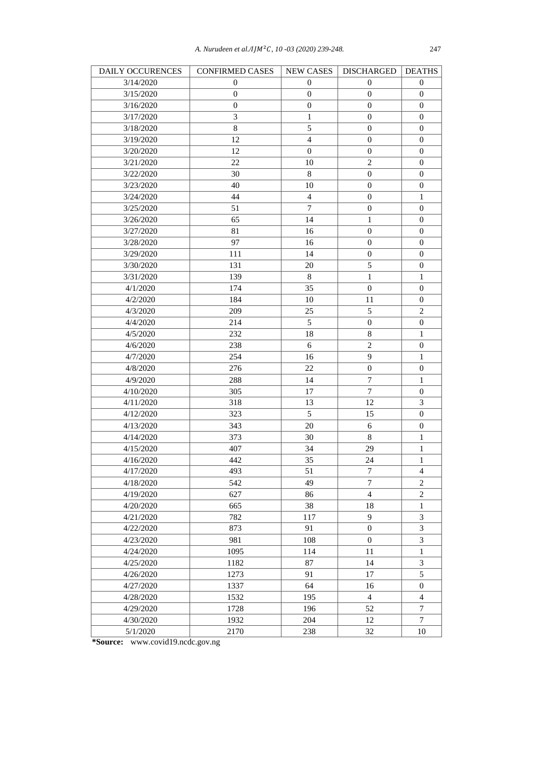| DAILY OCCURENCES | <b>CONFIRMED CASES</b> | <b>NEW CASES</b> | <b>DISCHARGED</b> | <b>DEATHS</b>               |
|------------------|------------------------|------------------|-------------------|-----------------------------|
| 3/14/2020        | $\boldsymbol{0}$       | $\mathbf{0}$     | 0                 | 0                           |
| 3/15/2020        | $\boldsymbol{0}$       | $\boldsymbol{0}$ | $\mathbf{0}$      | $\boldsymbol{0}$            |
| 3/16/2020        | $\boldsymbol{0}$       | $\boldsymbol{0}$ | $\mathbf{0}$      | $\boldsymbol{0}$            |
| 3/17/2020        | 3                      | $\mathbf{1}$     | $\mathbf{0}$      | $\boldsymbol{0}$            |
| 3/18/2020        | 8                      | 5                | 0                 | $\boldsymbol{0}$            |
| 3/19/2020        | 12                     | $\overline{4}$   | $\overline{0}$    | $\boldsymbol{0}$            |
| 3/20/2020        | 12                     | $\boldsymbol{0}$ | $\boldsymbol{0}$  | $\boldsymbol{0}$            |
| 3/21/2020        | 22                     | 10               | $\mathbf{2}$      | $\boldsymbol{0}$            |
| 3/22/2020        | 30                     | $\,8\,$          | $\overline{0}$    | $\boldsymbol{0}$            |
| 3/23/2020        | 40                     | 10               | 0                 | $\boldsymbol{0}$            |
| 3/24/2020        | 44                     | $\overline{4}$   | $\boldsymbol{0}$  | $\mathbf{1}$                |
| 3/25/2020        | 51                     | 7                | $\boldsymbol{0}$  | $\boldsymbol{0}$            |
| 3/26/2020        | 65                     | 14               | $\mathbf{1}$      | $\boldsymbol{0}$            |
| 3/27/2020        | 81                     | 16               | $\boldsymbol{0}$  | 0                           |
| 3/28/2020        | 97                     | 16               | $\boldsymbol{0}$  | $\boldsymbol{0}$            |
| 3/29/2020        | 111                    | 14               | $\boldsymbol{0}$  | $\boldsymbol{0}$            |
| 3/30/2020        | 131                    | 20               | 5                 | $\boldsymbol{0}$            |
| 3/31/2020        | 139                    | 8                | $\mathbf{1}$      | 1                           |
| 4/1/2020         | 174                    | 35               | $\boldsymbol{0}$  | $\boldsymbol{0}$            |
| 4/2/2020         | 184                    | 10               | 11                | $\boldsymbol{0}$            |
|                  | 209                    | 25               | $\sqrt{5}$        | $\sqrt{2}$                  |
| 4/3/2020         |                        |                  |                   |                             |
| 4/4/2020         | 214                    | 5                | 0                 | 0                           |
| 4/5/2020         | 232                    | 18               | $\,$ 8 $\,$       | $\mathbf{1}$                |
| 4/6/2020         | 238                    | $\sqrt{6}$       | $\overline{2}$    | $\boldsymbol{0}$            |
| 4/7/2020         | 254                    | 16               | 9                 | $\mathbf{1}$                |
| 4/8/2020         | 276                    | 22               | $\boldsymbol{0}$  | $\boldsymbol{0}$            |
| 4/9/2020         | 288                    | 14               | $\boldsymbol{7}$  | $\mathbf{1}$                |
| 4/10/2020        | 305                    | 17               | $\boldsymbol{7}$  | $\boldsymbol{0}$            |
| 4/11/2020        | 318                    | 13               | 12                | $\ensuremath{\mathfrak{Z}}$ |
| 4/12/2020        | 323                    | 5                | 15                | $\boldsymbol{0}$            |
| 4/13/2020        | 343                    | 20               | 6                 | $\boldsymbol{0}$            |
| 4/14/2020        | 373                    | 30               | 8                 | $\mathbf 1$                 |
| 4/15/2020        | 407                    | 34               | 29                | $\mathbf{1}$                |
| 4/16/2020        | 442                    | 35               | 24                | $\mathbf{1}$                |
| 4/17/2020        | 493                    | 51               | 7                 | $\overline{4}$              |
| 4/18/2020        | 542                    | 49               | 7                 | 2                           |
| 4/19/2020        | 627                    | 86               | $\overline{4}$    | $\mathbf{2}$                |
| 4/20/2020        | 665                    | 38               | 18                | $\mathbf{1}$                |
| 4/21/2020        | 782                    | 117              | 9                 | $\mathfrak{Z}$              |
| 4/22/2020        | 873                    | 91               | $\overline{0}$    | $\mathfrak{Z}$              |
| 4/23/2020        | 981                    | 108              | $\boldsymbol{0}$  | $\mathfrak{Z}$              |
| 4/24/2020        | 1095                   | 114              | 11                | $\mathbf{1}$                |
| 4/25/2020        | 1182                   | 87               | 14                | $\mathfrak{Z}$              |
| 4/26/2020        | 1273                   | 91               | 17                | $\sqrt{5}$                  |
| 4/27/2020        | 1337                   | 64               | 16                | $\boldsymbol{0}$            |
| 4/28/2020        | 1532                   | 195              | $\overline{4}$    | $\overline{4}$              |
| 4/29/2020        | 1728                   | 196              | 52                | $\tau$                      |
| 4/30/2020        | 1932                   | 204              | 12                | $\tau$                      |
| 5/1/2020         | 2170                   | 238              | 32                | 10                          |

**\*Source:** [www.covid19.ncdc.gov.ng](https://covid19.ncdc.gov.ng/)